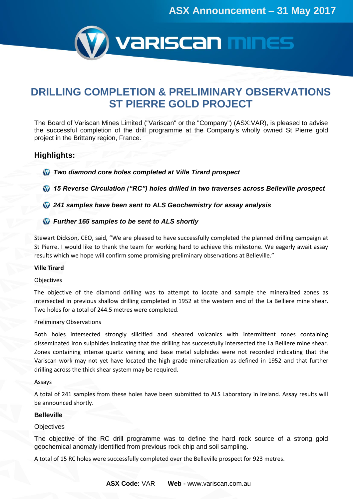

# **DRILLING COMPLETION & PRELIMINARY OBSERVATIONS ST PIERRE GOLD PROJECT**

The Board of Variscan Mines Limited ("Variscan" or the "Company") (ASX:VAR), is pleased to advise the successful completion of the drill programme at the Company's wholly owned St Pierre gold project in the Brittany region, France.

# **Highlights:**

*Two diamond core holes completed at Ville Tirard prospect* 

*15 Reverse Circulation ("RC") holes drilled in two traverses across Belleville prospect* 

*241 samples have been sent to ALS Geochemistry for assay analysis* 

# *Further 165 samples to be sent to ALS shortly*

Stewart Dickson, CEO, said, "We are pleased to have successfully completed the planned drilling campaign at St Pierre. I would like to thank the team for working hard to achieve this milestone. We eagerly await assay results which we hope will confirm some promising preliminary observations at Belleville."

#### **Ville Tirard**

#### Objectives

The objective of the diamond drilling was to attempt to locate and sample the mineralized zones as intersected in previous shallow drilling completed in 1952 at the western end of the La Belliere mine shear. Two holes for a total of 244.5 metres were completed.

#### Preliminary Observations

Both holes intersected strongly silicified and sheared volcanics with intermittent zones containing disseminated iron sulphides indicating that the drilling has successfully intersected the La Belliere mine shear. Zones containing intense quartz veining and base metal sulphides were not recorded indicating that the Variscan work may not yet have located the high grade mineralization as defined in 1952 and that further drilling across the thick shear system may be required.

#### Assays

A total of 241 samples from these holes have been submitted to ALS Laboratory in Ireland. Assay results will be announced shortly.

#### **Belleville**

# **Objectives**

The objective of the RC drill programme was to define the hard rock source of a strong gold geochemical anomaly identified from previous rock chip and soil sampling.

A total of 15 RC holes were successfully completed over the Belleville prospect for 923 metres.